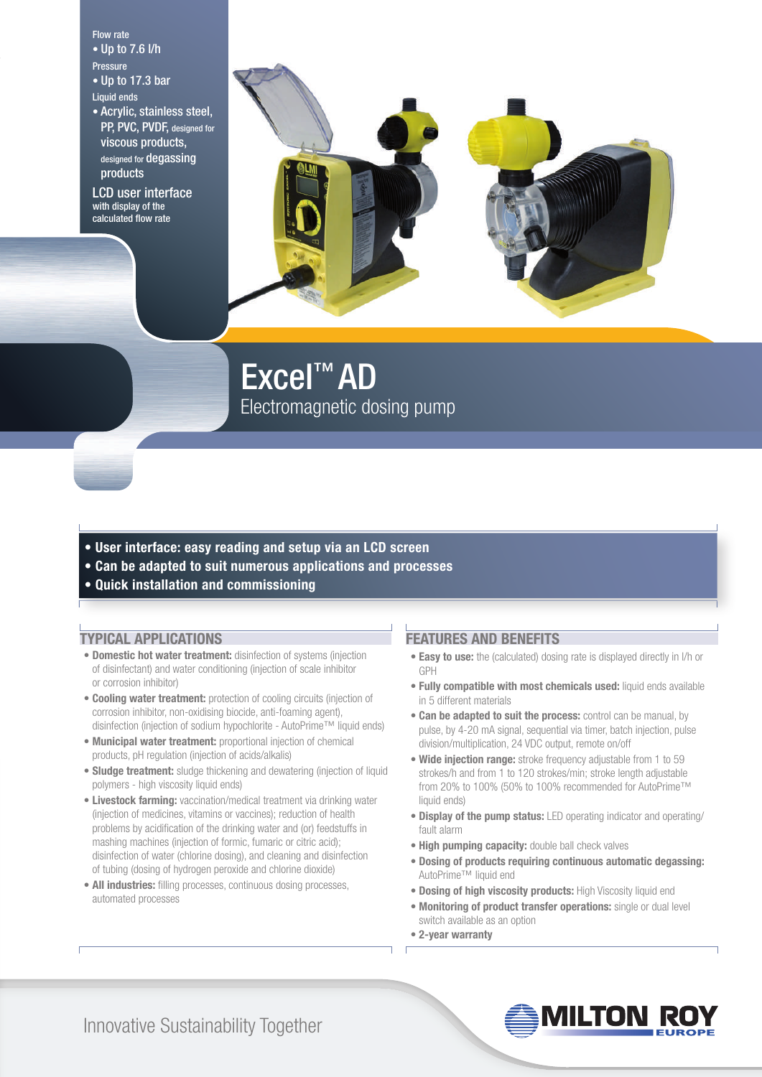#### Flow rate

• Up to 7.6 l/h Pressure

- Up to 17.3 bar Liquid ends
- Acrylic, stainless steel,
- PP, PVC, PVDF, designed for viscous products, designed for **degassing** products

LCD user interface with display of the calculated flow rate



Excel™ AD Electromagnetic dosing pump

- **User interface: easy reading and setup via an LCD screen**
- **Can be adapted to suit numerous applications and processes**
- **Quick installation and commissioning**

#### **TYPICAL APPLICATIONS**

- **Domestic hot water treatment:** disinfection of systems (injection of disinfectant) and water conditioning (injection of scale inhibitor or corrosion inhibitor)
- **Cooling water treatment:** protection of cooling circuits (injection of corrosion inhibitor, non-oxidising biocide, anti-foaming agent), disinfection (injection of sodium hypochlorite - AutoPrime™ liquid ends)
- **Municipal water treatment:** proportional injection of chemical products, pH regulation (injection of acids/alkalis)
- **Sludge treatment:** sludge thickening and dewatering (injection of liquid polymers - high viscosity liquid ends)
- **Livestock farming:** vaccination/medical treatment via drinking water (injection of medicines, vitamins or vaccines); reduction of health problems by acidification of the drinking water and (or) feedstuffs in mashing machines (injection of formic, fumaric or citric acid); disinfection of water (chlorine dosing), and cleaning and disinfection of tubing (dosing of hydrogen peroxide and chlorine dioxide)
- **All industries:** filling processes, continuous dosing processes, automated processes

#### **FEATURES AND BENEFITS**

- **Easy to use:** the (calculated) dosing rate is displayed directly in l/h or GPH
- **Fully compatible with most chemicals used:** liquid ends available in 5 different materials
- **Can be adapted to suit the process:** control can be manual, by pulse, by 4-20 mA signal, sequential via timer, batch injection, pulse division/multiplication, 24 VDC output, remote on/off
- **Wide injection range:** stroke frequency adjustable from 1 to 59 strokes/h and from 1 to 120 strokes/min; stroke length adjustable from 20% to 100% (50% to 100% recommended for AutoPrime™ liquid ends)
- **Display of the pump status:** LED operating indicator and operating/ fault alarm
- **High pumping capacity:** double ball check valves
- **Dosing of products requiring continuous automatic degassing:** AutoPrime™ liquid end
- **Dosing of high viscosity products:** High Viscosity liquid end
- **Monitoring of product transfer operations:** single or dual level switch available as an option
- **2-year warranty**



Innovative Sustainability Together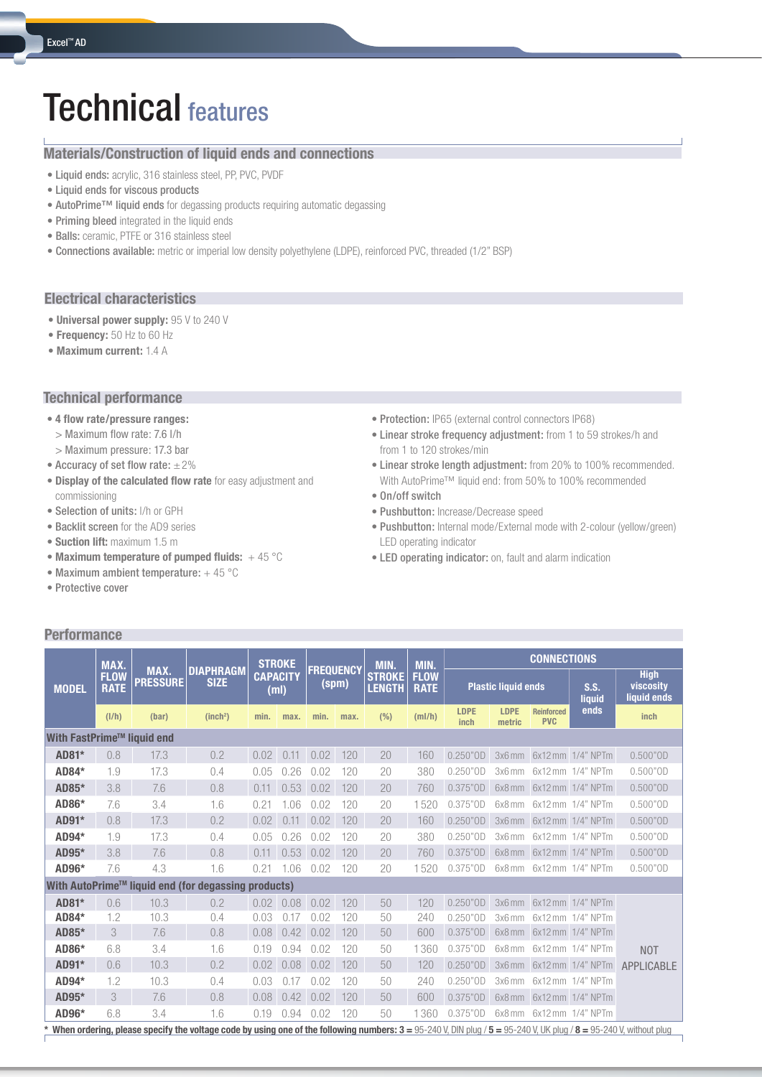# Technical features

#### **Materials/Construction of liquid ends and connections**

- Liquid ends: acrylic, 316 stainless steel, PP, PVC, PVDF
- Liquid ends for viscous products
- AutoPrime™ liquid ends for degassing products requiring automatic degassing
- Priming bleed integrated in the liquid ends
- Balls: ceramic, PTFE or 316 stainless steel
- Connections available: metric or imperial low density polyethylene (LDPE), reinforced PVC, threaded (1/2" BSP)

#### **Electrical characteristics**

- **Universal power supply:** 95 V to 240 V
- **Frequency:** 50 Hz to 60 Hz
- **Maximum current:** 1.4 A

#### **Technical performance**

- **4 flow rate/pressure ranges:**
	- > Maximum flow rate: 7.6 l/h
- > Maximum pressure: 17.3 bar
- Accuracy of set flow rate:  $\pm 2\%$
- **Display of the calculated flow rate** for easy adjustment and commissioning
- Selection of units: l/h or GPH
- Backlit screen for the AD9 series
- **Suction lift:** maximum 1.5 m
- **Maximum temperature of pumped fluids:** + 45 °C
- Maximum ambient temperature: + 45 °C
- Protective cover

**Performance**

#### **•** Protection: IP65 (external control connectors IP68)

- **•** Linear stroke frequency adjustment: from 1 to 59 strokes/h and from 1 to 120 strokes/min
- **•** Linear stroke length adjustment: from 20% to 100% recommended. With AutoPrime™ liquid end: from 50% to 100% recommended
- On/off switch
- **•** Pushbutton: Increase/Decrease speed
- **•** Pushbutton: Internal mode/External mode with 2-colour (yellow/green) LED operating indicator
- LED operating indicator: on, fault and alarm indication

|                            | MAX.                                                |                         |                                                                                                                                                                     |                         | <b>STROKE</b> |                  |       | MIN.                           | MIN.                       | <b>CONNECTIONS</b>  |                            |                                 |                          |                                         |  |
|----------------------------|-----------------------------------------------------|-------------------------|---------------------------------------------------------------------------------------------------------------------------------------------------------------------|-------------------------|---------------|------------------|-------|--------------------------------|----------------------------|---------------------|----------------------------|---------------------------------|--------------------------|-----------------------------------------|--|
| <b>MODEL</b>               | <b>FLOW</b><br><b>RATE</b>                          | MAX.<br><b>PRESSURE</b> | <b>DIAPHRAGM</b><br><b>SIZE</b>                                                                                                                                     | <b>CAPACITY</b><br>(ml) |               | <b>FREQUENCY</b> | (spm) | <b>STROKE</b><br><b>LENGTH</b> | <b>FLOW</b><br><b>RATE</b> |                     | <b>Plastic liquid ends</b> |                                 | S.S.<br>liquid           | <b>High</b><br>viscosity<br>liquid ends |  |
|                            | (I/h)                                               | (bar)                   | (inch <sup>2</sup> )                                                                                                                                                | min.                    | max.          | min.             | max.  | (% )                           | (mI/h)                     | <b>LDPE</b><br>inch | LDPE<br>metric             | <b>Reinforced</b><br><b>PVC</b> | ends                     | inch                                    |  |
| With FastPrime™ liquid end |                                                     |                         |                                                                                                                                                                     |                         |               |                  |       |                                |                            |                     |                            |                                 |                          |                                         |  |
| AD81*                      | 0.8                                                 | 17.3                    | 0.2                                                                                                                                                                 | 0.02                    | 0.11          | 0.02             | 120   | 20                             | 160                        | $0.250"$ OD         |                            |                                 | 3x6 mm 6x12 mm 1/4" NPTm | $0.500"$ OD                             |  |
| AD84*                      | 1.9                                                 | 17.3                    | 0.4                                                                                                                                                                 | 0.05                    | 0.26          | 0.02             | 120   | 20                             | 380                        | $0.250"$ OD         | 3x6mm                      |                                 | 6x12 mm 1/4" NPTm        | $0.500"$ OD                             |  |
| AD85*                      | 3.8                                                 | 7.6                     | 0.8                                                                                                                                                                 | 0.11                    | 0.53          | 0.02             | 120   | 20                             | 760                        | $0.375"$ OD         |                            |                                 | 6x8 mm 6x12 mm 1/4" NPTm | $0.500"$ OD                             |  |
| AD86*                      | 7.6                                                 | 3.4                     | 1.6                                                                                                                                                                 | 0.21                    | 1.06          | 0.02             | 120   | 20                             | 1520                       | $0.375"$ OD         | 6x8 mm                     |                                 | 6x12 mm 1/4" NPTm        | $0.500"$ OD                             |  |
| AD91*                      | 0.8                                                 | 17.3                    | 0.2                                                                                                                                                                 | 0.02                    | 0.11          | 0.02             | 120   | 20                             | 160                        | $0.250"$ OD         | 3x6mm                      |                                 | 6x12 mm 1/4" NPTm        | $0.500"$ OD                             |  |
| AD94*                      | 1.9                                                 | 17.3                    | 0.4                                                                                                                                                                 | 0.05                    | 0.26          | 0.02             | 120   | 20                             | 380                        | $0.250"$ OD         | $3x6$ mm                   |                                 | 6x12 mm 1/4" NPTm        | $0.500"$ OD                             |  |
| AD95*                      | 3.8                                                 | 7.6                     | 0.8                                                                                                                                                                 | 0.11                    | 0.53          | 0.02             | 120   | 20                             | 760                        | $0.375"$ OD         | 6x8 mm                     |                                 | 6x12 mm 1/4" NPTm        | $0.500"$ OD                             |  |
| AD96*                      | 7.6                                                 | 4.3                     | 1.6                                                                                                                                                                 | 0.21                    | 1.06          | 0.02             | 120   | 20                             | 1520                       | $0.375"$ OD         | 6x8 mm                     |                                 | 6x12 mm 1/4" NPTm        | $0.500"$ OD                             |  |
|                            | With AutoPrime™ liquid end (for degassing products) |                         |                                                                                                                                                                     |                         |               |                  |       |                                |                            |                     |                            |                                 |                          |                                         |  |
| AD81*                      | 0.6                                                 | 10.3                    | 0.2                                                                                                                                                                 | 0.02                    | 0.08          | 0.02             | 120   | 50                             | 120                        | $0.250"$ OD         |                            |                                 | 3x6mm 6x12mm 1/4" NPTm   |                                         |  |
| AD84*                      | 1.2                                                 | 10.3                    | 0.4                                                                                                                                                                 | 0.03                    | 0.17          | 0.02             | 120   | 50                             | 240                        | $0.250"$ OD         | 3x6 mm                     |                                 | 6x12 mm 1/4" NPTm        |                                         |  |
| AD85*                      | 3                                                   | 7.6                     | 0.8                                                                                                                                                                 | 0.08                    | 0.42          | 0.02             | 120   | 50                             | 600                        | $0.375"$ OD         | 6x8 mm                     |                                 | 6x12 mm 1/4" NPTm        |                                         |  |
| AD86*                      | 6.8                                                 | 3.4                     | 1.6                                                                                                                                                                 | 0.19                    | 0.94          | 0.02             | 120   | 50                             | 1360                       | $0.375"$ OD         | 6x8 mm                     |                                 | 6x12 mm 1/4" NPTm        | <b>NOT</b>                              |  |
| AD91*                      | 0.6                                                 | 10.3                    | 0.2                                                                                                                                                                 | 0.02                    | 0.08          | 0.02             | 120   | 50                             | 120                        | $0.250"$ OD         | 3x6mm                      |                                 | 6x12 mm 1/4" NPTm        | APPLICABLE                              |  |
| AD94*                      | 1.2                                                 | 10.3                    | 0.4                                                                                                                                                                 | 0.03                    | 0.17          | 0.02             | 120   | 50                             | 240                        | $0.250"$ OD         | $3x6$ mm                   |                                 | 6x12 mm 1/4" NPTm        |                                         |  |
| AD95*                      | 3                                                   | 7.6                     | 0.8                                                                                                                                                                 | 0.08                    | 0.42          | 0.02             | 120   | 50                             | 600                        | $0.375"$ OD         | 6x8 mm                     |                                 | 6x12 mm 1/4" NPTm        |                                         |  |
| AD96*                      | 6.8                                                 | 3.4                     | 1.6                                                                                                                                                                 | 0.19                    | 0.94          | 0.02             | 120   | 50                             | 1360                       | $0.375"$ OD         | 6x8 mm                     |                                 | 6x12 mm 1/4" NPTm        |                                         |  |
|                            |                                                     |                         | * When ordering, please specify the voltage code by using one of the following numbers: 3 = 95-240 V, DIN pluq / 5 = 95-240 V, UK pluq / 8 = 95-240 V, without pluq |                         |               |                  |       |                                |                            |                     |                            |                                 |                          |                                         |  |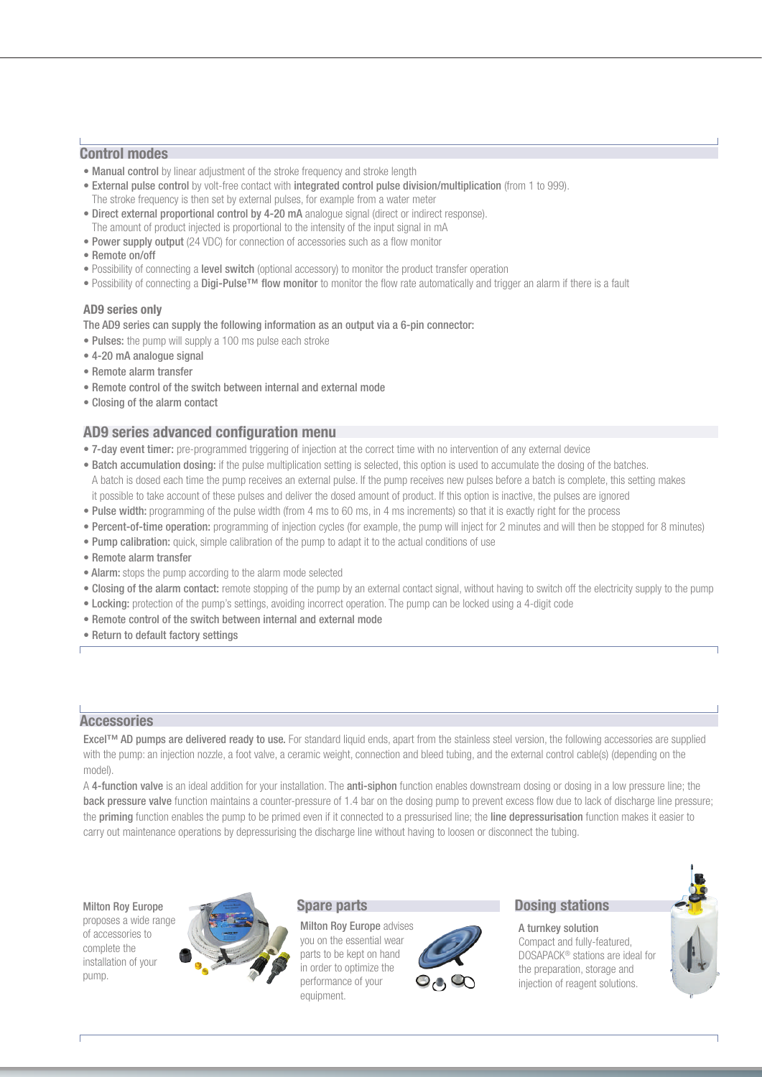#### **Control modes**

- **Manual control** by linear adjustment of the stroke frequency and stroke length
- External pulse control by volt-free contact with integrated control pulse division/multiplication (from 1 to 999). The stroke frequency is then set by external pulses, for example from a water meter
- Direct external proportional control by 4-20 mA analogue signal (direct or indirect response).
- The amount of product injected is proportional to the intensity of the input signal in mA
- Power supply output (24 VDC) for connection of accessories such as a flow monitor
- Remote on/off
- Possibility of connecting a level switch (optional accessory) to monitor the product transfer operation
- Possibility of connecting a Digi-Pulse™ flow monitor to monitor the flow rate automatically and trigger an alarm if there is a fault

#### **AD9 series only**

The AD9 series can supply the following information as an output via a 6-pin connector:

- Pulses: the pump will supply a 100 ms pulse each stroke
- 4-20 mA analogue signal
- Remote alarm transfer
- Remote control of the switch between internal and external mode
- Closing of the alarm contact

#### **AD9 series advanced configuration menu**

- 7-day event timer: pre-programmed triggering of injection at the correct time with no intervention of any external device
- Batch accumulation dosing: if the pulse multiplication setting is selected, this option is used to accumulate the dosing of the batches. A batch is dosed each time the pump receives an external pulse. If the pump receives new pulses before a batch is complete, this setting makes it possible to take account of these pulses and deliver the dosed amount of product. If this option is inactive, the pulses are ignored
- Pulse width: programming of the pulse width (from 4 ms to 60 ms, in 4 ms increments) so that it is exactly right for the process
- Percent-of-time operation: programming of injection cycles (for example, the pump will inject for 2 minutes and will then be stopped for 8 minutes)
- Pump calibration: quick, simple calibration of the pump to adapt it to the actual conditions of use
- Remote alarm transfer
- Alarm: stops the pump according to the alarm mode selected
- Closing of the alarm contact: remote stopping of the pump by an external contact signal, without having to switch off the electricity supply to the pump
- Locking: protection of the pump's settings, avoiding incorrect operation. The pump can be locked using a 4-digit code
- Remote control of the switch between internal and external mode
- Return to default factory settings

#### **Accessories**

Excel™ AD pumps are delivered ready to use. For standard liquid ends, apart from the stainless steel version, the following accessories are supplied with the pump: an injection nozzle, a foot valve, a ceramic weight, connection and bleed tubing, and the external control cable(s) (depending on the model).

A 4-function valve is an ideal addition for your installation. The anti-siphon function enables downstream dosing or dosing in a low pressure line; the back pressure valve function maintains a counter-pressure of 1.4 bar on the dosing pump to prevent excess flow due to lack of discharge line pressure; the priming function enables the pump to be primed even if it connected to a pressurised line; the line depressurisation function makes it easier to carry out maintenance operations by depressurising the discharge line without having to loosen or disconnect the tubing.

Milton Roy Europe proposes a wide range of accessories to complete the installation of your pump.



#### **Spare parts**

Milton Roy Europe advises you on the essential wear parts to be kept on hand in order to optimize the performance of your equipment.



#### **Dosing stations**

A turnkey solution Compact and fully-featured, DOSAPACK® stations are ideal for the preparation, storage and injection of reagent solutions.

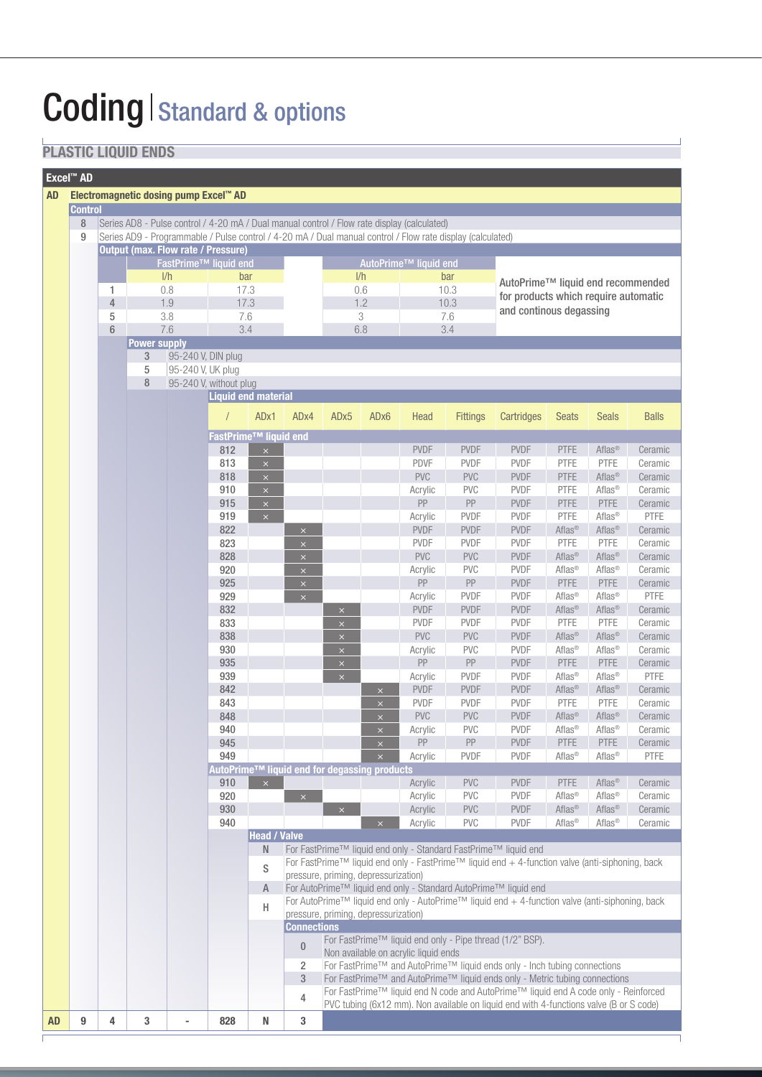# **Coding | Standard & options**

## **PLASTIC LIQUID ENDS**

| <b>Excel™ AD</b>                                                                                                                                                                                                                                                                                                                                                                                                                                                                                                                                                                                                                                                                                                                                                                                                                                                                                                                                                                                                                                                                                                                                                                                                                                                                                                                                                                                                                                                                                                                                                                                                                                                                                                                                                                                                                                                                   |  |   |   |                                   |     |                     |                    |                                      |  |                                      |                 |                                                                                                                                                                    |                    |                    |              |  |
|------------------------------------------------------------------------------------------------------------------------------------------------------------------------------------------------------------------------------------------------------------------------------------------------------------------------------------------------------------------------------------------------------------------------------------------------------------------------------------------------------------------------------------------------------------------------------------------------------------------------------------------------------------------------------------------------------------------------------------------------------------------------------------------------------------------------------------------------------------------------------------------------------------------------------------------------------------------------------------------------------------------------------------------------------------------------------------------------------------------------------------------------------------------------------------------------------------------------------------------------------------------------------------------------------------------------------------------------------------------------------------------------------------------------------------------------------------------------------------------------------------------------------------------------------------------------------------------------------------------------------------------------------------------------------------------------------------------------------------------------------------------------------------------------------------------------------------------------------------------------------------|--|---|---|-----------------------------------|-----|---------------------|--------------------|--------------------------------------|--|--------------------------------------|-----------------|--------------------------------------------------------------------------------------------------------------------------------------------------------------------|--------------------|--------------------|--------------|--|
|                                                                                                                                                                                                                                                                                                                                                                                                                                                                                                                                                                                                                                                                                                                                                                                                                                                                                                                                                                                                                                                                                                                                                                                                                                                                                                                                                                                                                                                                                                                                                                                                                                                                                                                                                                                                                                                                                    |  |   |   |                                   |     |                     |                    |                                      |  |                                      |                 |                                                                                                                                                                    |                    |                    |              |  |
|                                                                                                                                                                                                                                                                                                                                                                                                                                                                                                                                                                                                                                                                                                                                                                                                                                                                                                                                                                                                                                                                                                                                                                                                                                                                                                                                                                                                                                                                                                                                                                                                                                                                                                                                                                                                                                                                                    |  |   |   |                                   |     |                     |                    |                                      |  |                                      |                 |                                                                                                                                                                    |                    |                    |              |  |
|                                                                                                                                                                                                                                                                                                                                                                                                                                                                                                                                                                                                                                                                                                                                                                                                                                                                                                                                                                                                                                                                                                                                                                                                                                                                                                                                                                                                                                                                                                                                                                                                                                                                                                                                                                                                                                                                                    |  |   |   |                                   |     |                     |                    |                                      |  |                                      |                 |                                                                                                                                                                    |                    |                    |              |  |
|                                                                                                                                                                                                                                                                                                                                                                                                                                                                                                                                                                                                                                                                                                                                                                                                                                                                                                                                                                                                                                                                                                                                                                                                                                                                                                                                                                                                                                                                                                                                                                                                                                                                                                                                                                                                                                                                                    |  |   |   |                                   |     |                     |                    |                                      |  |                                      |                 |                                                                                                                                                                    |                    |                    |              |  |
|                                                                                                                                                                                                                                                                                                                                                                                                                                                                                                                                                                                                                                                                                                                                                                                                                                                                                                                                                                                                                                                                                                                                                                                                                                                                                                                                                                                                                                                                                                                                                                                                                                                                                                                                                                                                                                                                                    |  |   |   |                                   |     |                     |                    |                                      |  |                                      |                 |                                                                                                                                                                    |                    |                    |              |  |
|                                                                                                                                                                                                                                                                                                                                                                                                                                                                                                                                                                                                                                                                                                                                                                                                                                                                                                                                                                                                                                                                                                                                                                                                                                                                                                                                                                                                                                                                                                                                                                                                                                                                                                                                                                                                                                                                                    |  |   |   |                                   |     |                     |                    |                                      |  |                                      |                 |                                                                                                                                                                    |                    |                    |              |  |
| Electromagnetic dosing pump Excel™ AD<br><b>AD</b><br><b>Control</b><br>8<br>Series AD8 - Pulse control / 4-20 mA / Dual manual control / Flow rate display (calculated)<br>9<br>Series AD9 - Programmable / Pulse control / 4-20 mA / Dual manual control / Flow rate display (calculated)<br><b>Output (max. Flow rate / Pressure)</b><br>FastPrime™ liquid end<br>AutoPrime™ liquid end<br>1/h<br>1/h<br>bar<br>bar<br>0.6<br>10.3<br>1<br>0.8<br>17.3<br>$\overline{4}$<br>1.9<br>1.2<br>17.3<br>10.3<br>5<br>3.8<br>7.6<br>3<br>7.6<br>$6\phantom{1}$<br>7.6<br>6.8<br>3.4<br>3.4<br><b>Power supply</b><br>3<br>95-240 V, DIN plug<br>5<br>95-240 V, UK plug<br>8<br>95-240 V, without plug<br><b>Liquid end material</b><br>ADx1<br>ADx4<br>AD <sub>x5</sub><br>ADx6<br>Head<br>$\sqrt{2}$<br>FastPrime <sup>™</sup> liquid end<br>812<br><b>PVDF</b><br>$\boldsymbol{\times}$<br>813<br><b>PDVF</b><br>$\bar{\mathsf{x}}$<br><b>PVC</b><br>818<br>$\times$<br>910<br>Acrylic<br>$\times$<br>915<br>PP<br>$\times$<br>919<br>$\bar{\mathsf{x}}$<br>Acrylic<br>822<br><b>PVDF</b><br>$\times$<br>823<br><b>PVDF</b><br>$\times$<br>828<br><b>PVC</b><br>$\times$<br>920<br>Acrylic<br>$\times$<br>925<br>PP<br>$\times$<br>929<br>Acrylic<br>$\times$<br>832<br><b>PVDF</b><br>$\times$<br>833<br><b>PVDF</b><br>$\times$<br>838<br><b>PVC</b><br>$\times$<br>930<br>Acrylic<br>$\times$<br>${\sf PP}$<br>935<br>$\times$<br>939<br>$\bar{\mathsf{x}}$<br>Acrylic<br>842<br><b>PVDF</b><br>$\times$<br>843<br><b>PVDF</b><br>$\boldsymbol{\times}$<br>848<br><b>PVC</b><br>$\times$<br>940<br>Acrylic<br>PP<br>945<br>$\times$<br>949<br>$\times$<br>Acrylic<br>AutoPrime™ liquid end for degassing products<br>910<br>Acrylic<br>$\boldsymbol{\times}$<br>920<br>Acrylic<br>$\mathsf{x}$<br>930<br>$\bar{\mathsf{x}}$<br>Acrylic<br>940<br>Acrylic<br>$\boldsymbol{\times}$ |  |   |   | AutoPrime™ liquid end recommended |     |                     |                    |                                      |  |                                      |                 |                                                                                                                                                                    |                    |                    |              |  |
|                                                                                                                                                                                                                                                                                                                                                                                                                                                                                                                                                                                                                                                                                                                                                                                                                                                                                                                                                                                                                                                                                                                                                                                                                                                                                                                                                                                                                                                                                                                                                                                                                                                                                                                                                                                                                                                                                    |  |   |   |                                   |     |                     |                    |                                      |  |                                      |                 | for products which require automatic                                                                                                                               |                    |                    |              |  |
|                                                                                                                                                                                                                                                                                                                                                                                                                                                                                                                                                                                                                                                                                                                                                                                                                                                                                                                                                                                                                                                                                                                                                                                                                                                                                                                                                                                                                                                                                                                                                                                                                                                                                                                                                                                                                                                                                    |  |   |   |                                   |     |                     |                    |                                      |  |                                      |                 | and continous degassing                                                                                                                                            |                    |                    |              |  |
|                                                                                                                                                                                                                                                                                                                                                                                                                                                                                                                                                                                                                                                                                                                                                                                                                                                                                                                                                                                                                                                                                                                                                                                                                                                                                                                                                                                                                                                                                                                                                                                                                                                                                                                                                                                                                                                                                    |  |   |   |                                   |     |                     |                    |                                      |  |                                      |                 |                                                                                                                                                                    |                    |                    |              |  |
|                                                                                                                                                                                                                                                                                                                                                                                                                                                                                                                                                                                                                                                                                                                                                                                                                                                                                                                                                                                                                                                                                                                                                                                                                                                                                                                                                                                                                                                                                                                                                                                                                                                                                                                                                                                                                                                                                    |  |   |   |                                   |     |                     |                    |                                      |  |                                      |                 |                                                                                                                                                                    |                    |                    |              |  |
|                                                                                                                                                                                                                                                                                                                                                                                                                                                                                                                                                                                                                                                                                                                                                                                                                                                                                                                                                                                                                                                                                                                                                                                                                                                                                                                                                                                                                                                                                                                                                                                                                                                                                                                                                                                                                                                                                    |  |   |   |                                   |     |                     |                    |                                      |  |                                      |                 |                                                                                                                                                                    |                    |                    |              |  |
|                                                                                                                                                                                                                                                                                                                                                                                                                                                                                                                                                                                                                                                                                                                                                                                                                                                                                                                                                                                                                                                                                                                                                                                                                                                                                                                                                                                                                                                                                                                                                                                                                                                                                                                                                                                                                                                                                    |  |   |   |                                   |     |                     |                    |                                      |  |                                      |                 |                                                                                                                                                                    |                    |                    |              |  |
|                                                                                                                                                                                                                                                                                                                                                                                                                                                                                                                                                                                                                                                                                                                                                                                                                                                                                                                                                                                                                                                                                                                                                                                                                                                                                                                                                                                                                                                                                                                                                                                                                                                                                                                                                                                                                                                                                    |  |   |   |                                   |     |                     |                    |                                      |  |                                      |                 |                                                                                                                                                                    |                    |                    |              |  |
|                                                                                                                                                                                                                                                                                                                                                                                                                                                                                                                                                                                                                                                                                                                                                                                                                                                                                                                                                                                                                                                                                                                                                                                                                                                                                                                                                                                                                                                                                                                                                                                                                                                                                                                                                                                                                                                                                    |  |   |   |                                   |     |                     |                    |                                      |  |                                      |                 |                                                                                                                                                                    |                    |                    |              |  |
|                                                                                                                                                                                                                                                                                                                                                                                                                                                                                                                                                                                                                                                                                                                                                                                                                                                                                                                                                                                                                                                                                                                                                                                                                                                                                                                                                                                                                                                                                                                                                                                                                                                                                                                                                                                                                                                                                    |  |   |   |                                   |     |                     |                    |                                      |  |                                      |                 |                                                                                                                                                                    |                    |                    |              |  |
|                                                                                                                                                                                                                                                                                                                                                                                                                                                                                                                                                                                                                                                                                                                                                                                                                                                                                                                                                                                                                                                                                                                                                                                                                                                                                                                                                                                                                                                                                                                                                                                                                                                                                                                                                                                                                                                                                    |  |   |   |                                   |     |                     |                    |                                      |  |                                      | <b>Fittings</b> | Cartridges                                                                                                                                                         | <b>Seats</b>       | <b>Seals</b>       | <b>Balls</b> |  |
|                                                                                                                                                                                                                                                                                                                                                                                                                                                                                                                                                                                                                                                                                                                                                                                                                                                                                                                                                                                                                                                                                                                                                                                                                                                                                                                                                                                                                                                                                                                                                                                                                                                                                                                                                                                                                                                                                    |  |   |   |                                   |     |                     |                    |                                      |  |                                      |                 |                                                                                                                                                                    |                    |                    |              |  |
|                                                                                                                                                                                                                                                                                                                                                                                                                                                                                                                                                                                                                                                                                                                                                                                                                                                                                                                                                                                                                                                                                                                                                                                                                                                                                                                                                                                                                                                                                                                                                                                                                                                                                                                                                                                                                                                                                    |  |   |   |                                   |     |                     |                    |                                      |  |                                      |                 |                                                                                                                                                                    |                    |                    |              |  |
|                                                                                                                                                                                                                                                                                                                                                                                                                                                                                                                                                                                                                                                                                                                                                                                                                                                                                                                                                                                                                                                                                                                                                                                                                                                                                                                                                                                                                                                                                                                                                                                                                                                                                                                                                                                                                                                                                    |  |   |   |                                   |     |                     |                    |                                      |  |                                      | <b>PVDF</b>     | <b>PVDF</b>                                                                                                                                                        | <b>PTFE</b>        | Aflas <sup>®</sup> | Ceramic      |  |
|                                                                                                                                                                                                                                                                                                                                                                                                                                                                                                                                                                                                                                                                                                                                                                                                                                                                                                                                                                                                                                                                                                                                                                                                                                                                                                                                                                                                                                                                                                                                                                                                                                                                                                                                                                                                                                                                                    |  |   |   |                                   |     |                     |                    |                                      |  |                                      | <b>PVDF</b>     | <b>PVDF</b>                                                                                                                                                        | PTFE               | <b>PTFE</b>        | Ceramic      |  |
|                                                                                                                                                                                                                                                                                                                                                                                                                                                                                                                                                                                                                                                                                                                                                                                                                                                                                                                                                                                                                                                                                                                                                                                                                                                                                                                                                                                                                                                                                                                                                                                                                                                                                                                                                                                                                                                                                    |  |   |   |                                   |     |                     |                    |                                      |  |                                      | <b>PVC</b>      | <b>PVDF</b>                                                                                                                                                        | <b>PTFE</b>        | Aflas <sup>®</sup> | Ceramic      |  |
|                                                                                                                                                                                                                                                                                                                                                                                                                                                                                                                                                                                                                                                                                                                                                                                                                                                                                                                                                                                                                                                                                                                                                                                                                                                                                                                                                                                                                                                                                                                                                                                                                                                                                                                                                                                                                                                                                    |  |   |   |                                   |     |                     |                    |                                      |  |                                      | <b>PVC</b>      | <b>PVDF</b>                                                                                                                                                        | PTFE               | Aflas <sup>®</sup> | Ceramic      |  |
|                                                                                                                                                                                                                                                                                                                                                                                                                                                                                                                                                                                                                                                                                                                                                                                                                                                                                                                                                                                                                                                                                                                                                                                                                                                                                                                                                                                                                                                                                                                                                                                                                                                                                                                                                                                                                                                                                    |  |   |   |                                   |     |                     |                    |                                      |  |                                      | ${\sf PP}$      | <b>PVDF</b>                                                                                                                                                        | PTFE               | <b>PTFE</b>        | Ceramic      |  |
|                                                                                                                                                                                                                                                                                                                                                                                                                                                                                                                                                                                                                                                                                                                                                                                                                                                                                                                                                                                                                                                                                                                                                                                                                                                                                                                                                                                                                                                                                                                                                                                                                                                                                                                                                                                                                                                                                    |  |   |   |                                   |     |                     |                    |                                      |  |                                      | PVDF            | PVDF                                                                                                                                                               | PTFE               | Aflas <sup>®</sup> | PTFE         |  |
|                                                                                                                                                                                                                                                                                                                                                                                                                                                                                                                                                                                                                                                                                                                                                                                                                                                                                                                                                                                                                                                                                                                                                                                                                                                                                                                                                                                                                                                                                                                                                                                                                                                                                                                                                                                                                                                                                    |  |   |   |                                   |     |                     |                    |                                      |  |                                      | <b>PVDF</b>     | <b>PVDF</b>                                                                                                                                                        | Aflas <sup>®</sup> | Aflas <sup>®</sup> | Ceramic      |  |
|                                                                                                                                                                                                                                                                                                                                                                                                                                                                                                                                                                                                                                                                                                                                                                                                                                                                                                                                                                                                                                                                                                                                                                                                                                                                                                                                                                                                                                                                                                                                                                                                                                                                                                                                                                                                                                                                                    |  |   |   |                                   |     |                     |                    |                                      |  |                                      | <b>PVDF</b>     | <b>PVDF</b>                                                                                                                                                        | PTFE               | PTFE               | Ceramic      |  |
|                                                                                                                                                                                                                                                                                                                                                                                                                                                                                                                                                                                                                                                                                                                                                                                                                                                                                                                                                                                                                                                                                                                                                                                                                                                                                                                                                                                                                                                                                                                                                                                                                                                                                                                                                                                                                                                                                    |  |   |   |                                   |     |                     |                    |                                      |  |                                      | <b>PVC</b>      | <b>PVDF</b>                                                                                                                                                        | Aflas <sup>®</sup> | Aflas <sup>®</sup> | Ceramic      |  |
|                                                                                                                                                                                                                                                                                                                                                                                                                                                                                                                                                                                                                                                                                                                                                                                                                                                                                                                                                                                                                                                                                                                                                                                                                                                                                                                                                                                                                                                                                                                                                                                                                                                                                                                                                                                                                                                                                    |  |   |   |                                   |     |                     |                    |                                      |  |                                      | <b>PVC</b>      | <b>PVDF</b>                                                                                                                                                        | Aflas <sup>®</sup> | Aflas <sup>®</sup> | Ceramic      |  |
|                                                                                                                                                                                                                                                                                                                                                                                                                                                                                                                                                                                                                                                                                                                                                                                                                                                                                                                                                                                                                                                                                                                                                                                                                                                                                                                                                                                                                                                                                                                                                                                                                                                                                                                                                                                                                                                                                    |  |   |   |                                   |     |                     |                    |                                      |  |                                      | ${\sf PP}$      | <b>PVDF</b>                                                                                                                                                        | <b>PTFE</b>        | <b>PTFE</b>        | Ceramic      |  |
|                                                                                                                                                                                                                                                                                                                                                                                                                                                                                                                                                                                                                                                                                                                                                                                                                                                                                                                                                                                                                                                                                                                                                                                                                                                                                                                                                                                                                                                                                                                                                                                                                                                                                                                                                                                                                                                                                    |  |   |   |                                   |     |                     |                    |                                      |  |                                      | <b>PVDF</b>     | <b>PVDF</b>                                                                                                                                                        | Aflas <sup>®</sup> | Aflas®             | PTFE         |  |
|                                                                                                                                                                                                                                                                                                                                                                                                                                                                                                                                                                                                                                                                                                                                                                                                                                                                                                                                                                                                                                                                                                                                                                                                                                                                                                                                                                                                                                                                                                                                                                                                                                                                                                                                                                                                                                                                                    |  |   |   |                                   |     |                     |                    |                                      |  |                                      | <b>PVDF</b>     | PVDF                                                                                                                                                               | Aflas <sup>®</sup> | Aflas <sup>®</sup> | Ceramic      |  |
|                                                                                                                                                                                                                                                                                                                                                                                                                                                                                                                                                                                                                                                                                                                                                                                                                                                                                                                                                                                                                                                                                                                                                                                                                                                                                                                                                                                                                                                                                                                                                                                                                                                                                                                                                                                                                                                                                    |  |   |   |                                   |     |                     |                    |                                      |  |                                      | <b>PVDF</b>     | <b>PVDF</b>                                                                                                                                                        | PTFE               | PTFE               | Ceramic      |  |
|                                                                                                                                                                                                                                                                                                                                                                                                                                                                                                                                                                                                                                                                                                                                                                                                                                                                                                                                                                                                                                                                                                                                                                                                                                                                                                                                                                                                                                                                                                                                                                                                                                                                                                                                                                                                                                                                                    |  |   |   |                                   |     |                     |                    |                                      |  |                                      | PVC             | <b>PVDF</b>                                                                                                                                                        | Aflas <sup>®</sup> | Aflas <sup>®</sup> | Ceramic      |  |
|                                                                                                                                                                                                                                                                                                                                                                                                                                                                                                                                                                                                                                                                                                                                                                                                                                                                                                                                                                                                                                                                                                                                                                                                                                                                                                                                                                                                                                                                                                                                                                                                                                                                                                                                                                                                                                                                                    |  |   |   |                                   |     |                     |                    |                                      |  |                                      | <b>PVC</b>      | <b>PVDF</b>                                                                                                                                                        | Aflas <sup>®</sup> | Aflas®             | Ceramic      |  |
|                                                                                                                                                                                                                                                                                                                                                                                                                                                                                                                                                                                                                                                                                                                                                                                                                                                                                                                                                                                                                                                                                                                                                                                                                                                                                                                                                                                                                                                                                                                                                                                                                                                                                                                                                                                                                                                                                    |  |   |   |                                   |     |                     |                    |                                      |  |                                      | ${\sf PP}$      | <b>PVDF</b>                                                                                                                                                        | PTFE               | PTFE               | Ceramic      |  |
|                                                                                                                                                                                                                                                                                                                                                                                                                                                                                                                                                                                                                                                                                                                                                                                                                                                                                                                                                                                                                                                                                                                                                                                                                                                                                                                                                                                                                                                                                                                                                                                                                                                                                                                                                                                                                                                                                    |  |   |   |                                   |     |                     |                    |                                      |  |                                      | <b>PVDF</b>     | <b>PVDF</b>                                                                                                                                                        | Aflas <sup>®</sup> | Aflas <sup>®</sup> | PTFE         |  |
|                                                                                                                                                                                                                                                                                                                                                                                                                                                                                                                                                                                                                                                                                                                                                                                                                                                                                                                                                                                                                                                                                                                                                                                                                                                                                                                                                                                                                                                                                                                                                                                                                                                                                                                                                                                                                                                                                    |  |   |   |                                   |     |                     |                    |                                      |  |                                      | PVDF            | <b>PVDF</b>                                                                                                                                                        | Aflas <sup>®</sup> | Aflas <sup>®</sup> | Ceramic      |  |
|                                                                                                                                                                                                                                                                                                                                                                                                                                                                                                                                                                                                                                                                                                                                                                                                                                                                                                                                                                                                                                                                                                                                                                                                                                                                                                                                                                                                                                                                                                                                                                                                                                                                                                                                                                                                                                                                                    |  |   |   |                                   |     |                     |                    |                                      |  |                                      | <b>PVDF</b>     | <b>PVDF</b>                                                                                                                                                        | <b>PTFE</b>        | PTFE               | Ceramic      |  |
|                                                                                                                                                                                                                                                                                                                                                                                                                                                                                                                                                                                                                                                                                                                                                                                                                                                                                                                                                                                                                                                                                                                                                                                                                                                                                                                                                                                                                                                                                                                                                                                                                                                                                                                                                                                                                                                                                    |  |   |   |                                   |     |                     |                    |                                      |  |                                      | PVC             | <b>PVDF</b>                                                                                                                                                        | Aflas <sup>®</sup> | Aflas <sup>®</sup> | Ceramic      |  |
|                                                                                                                                                                                                                                                                                                                                                                                                                                                                                                                                                                                                                                                                                                                                                                                                                                                                                                                                                                                                                                                                                                                                                                                                                                                                                                                                                                                                                                                                                                                                                                                                                                                                                                                                                                                                                                                                                    |  |   |   |                                   |     |                     |                    |                                      |  |                                      | <b>PVC</b>      | <b>PVDF</b>                                                                                                                                                        | Aflas <sup>®</sup> | Aflas <sup>®</sup> | Ceramic      |  |
|                                                                                                                                                                                                                                                                                                                                                                                                                                                                                                                                                                                                                                                                                                                                                                                                                                                                                                                                                                                                                                                                                                                                                                                                                                                                                                                                                                                                                                                                                                                                                                                                                                                                                                                                                                                                                                                                                    |  |   |   |                                   |     |                     |                    |                                      |  |                                      | ${\sf PP}$      | <b>PVDF</b>                                                                                                                                                        | PTFE               | PTFE               | Ceramic      |  |
|                                                                                                                                                                                                                                                                                                                                                                                                                                                                                                                                                                                                                                                                                                                                                                                                                                                                                                                                                                                                                                                                                                                                                                                                                                                                                                                                                                                                                                                                                                                                                                                                                                                                                                                                                                                                                                                                                    |  |   |   |                                   |     |                     |                    |                                      |  |                                      | <b>PVDF</b>     | <b>PVDF</b>                                                                                                                                                        | Aflas <sup>®</sup> | Aflas <sup>®</sup> | PTFE         |  |
|                                                                                                                                                                                                                                                                                                                                                                                                                                                                                                                                                                                                                                                                                                                                                                                                                                                                                                                                                                                                                                                                                                                                                                                                                                                                                                                                                                                                                                                                                                                                                                                                                                                                                                                                                                                                                                                                                    |  |   |   |                                   |     |                     |                    |                                      |  |                                      |                 |                                                                                                                                                                    |                    |                    |              |  |
|                                                                                                                                                                                                                                                                                                                                                                                                                                                                                                                                                                                                                                                                                                                                                                                                                                                                                                                                                                                                                                                                                                                                                                                                                                                                                                                                                                                                                                                                                                                                                                                                                                                                                                                                                                                                                                                                                    |  |   |   |                                   |     |                     |                    |                                      |  |                                      | <b>PVC</b>      | <b>PVDF</b>                                                                                                                                                        | <b>PTFE</b>        | Aflas <sup>®</sup> | Ceramic      |  |
|                                                                                                                                                                                                                                                                                                                                                                                                                                                                                                                                                                                                                                                                                                                                                                                                                                                                                                                                                                                                                                                                                                                                                                                                                                                                                                                                                                                                                                                                                                                                                                                                                                                                                                                                                                                                                                                                                    |  |   |   |                                   |     |                     |                    |                                      |  |                                      | <b>PVC</b>      | <b>PVDF</b>                                                                                                                                                        | Aflas <sup>®</sup> | Aflas <sup>®</sup> | Ceramic      |  |
|                                                                                                                                                                                                                                                                                                                                                                                                                                                                                                                                                                                                                                                                                                                                                                                                                                                                                                                                                                                                                                                                                                                                                                                                                                                                                                                                                                                                                                                                                                                                                                                                                                                                                                                                                                                                                                                                                    |  |   |   |                                   |     |                     |                    |                                      |  |                                      | PVC             | <b>PVDF</b>                                                                                                                                                        | Aflas <sup>®</sup> | Aflas <sup>®</sup> | Ceramic      |  |
|                                                                                                                                                                                                                                                                                                                                                                                                                                                                                                                                                                                                                                                                                                                                                                                                                                                                                                                                                                                                                                                                                                                                                                                                                                                                                                                                                                                                                                                                                                                                                                                                                                                                                                                                                                                                                                                                                    |  |   |   |                                   |     |                     |                    |                                      |  |                                      |                 |                                                                                                                                                                    |                    |                    |              |  |
|                                                                                                                                                                                                                                                                                                                                                                                                                                                                                                                                                                                                                                                                                                                                                                                                                                                                                                                                                                                                                                                                                                                                                                                                                                                                                                                                                                                                                                                                                                                                                                                                                                                                                                                                                                                                                                                                                    |  |   |   |                                   |     | <b>Head / Valve</b> |                    |                                      |  |                                      | <b>PVC</b>      | <b>PVDF</b>                                                                                                                                                        | Aflas <sup>®</sup> | Aflas <sup>®</sup> | Ceramic      |  |
|                                                                                                                                                                                                                                                                                                                                                                                                                                                                                                                                                                                                                                                                                                                                                                                                                                                                                                                                                                                                                                                                                                                                                                                                                                                                                                                                                                                                                                                                                                                                                                                                                                                                                                                                                                                                                                                                                    |  |   |   |                                   |     |                     |                    |                                      |  |                                      |                 |                                                                                                                                                                    |                    |                    |              |  |
|                                                                                                                                                                                                                                                                                                                                                                                                                                                                                                                                                                                                                                                                                                                                                                                                                                                                                                                                                                                                                                                                                                                                                                                                                                                                                                                                                                                                                                                                                                                                                                                                                                                                                                                                                                                                                                                                                    |  |   |   |                                   |     | N                   |                    |                                      |  |                                      |                 | For FastPrime™ liquid end only - Standard FastPrime™ liquid end                                                                                                    |                    |                    |              |  |
|                                                                                                                                                                                                                                                                                                                                                                                                                                                                                                                                                                                                                                                                                                                                                                                                                                                                                                                                                                                                                                                                                                                                                                                                                                                                                                                                                                                                                                                                                                                                                                                                                                                                                                                                                                                                                                                                                    |  |   |   |                                   |     | S                   |                    |                                      |  |                                      |                 | For FastPrime™ liquid end only - FastPrime™ liquid end + 4-function valve (anti-siphoning, back                                                                    |                    |                    |              |  |
|                                                                                                                                                                                                                                                                                                                                                                                                                                                                                                                                                                                                                                                                                                                                                                                                                                                                                                                                                                                                                                                                                                                                                                                                                                                                                                                                                                                                                                                                                                                                                                                                                                                                                                                                                                                                                                                                                    |  |   |   |                                   |     |                     |                    | pressure, priming, depressurization) |  |                                      |                 |                                                                                                                                                                    |                    |                    |              |  |
|                                                                                                                                                                                                                                                                                                                                                                                                                                                                                                                                                                                                                                                                                                                                                                                                                                                                                                                                                                                                                                                                                                                                                                                                                                                                                                                                                                                                                                                                                                                                                                                                                                                                                                                                                                                                                                                                                    |  |   |   |                                   |     | Α                   |                    |                                      |  |                                      |                 | For AutoPrime™ liquid end only - Standard AutoPrime™ liquid end<br>For AutoPrime™ liquid end only - AutoPrime™ liquid end + 4-function valve (anti-siphoning, back |                    |                    |              |  |
|                                                                                                                                                                                                                                                                                                                                                                                                                                                                                                                                                                                                                                                                                                                                                                                                                                                                                                                                                                                                                                                                                                                                                                                                                                                                                                                                                                                                                                                                                                                                                                                                                                                                                                                                                                                                                                                                                    |  |   |   |                                   | Н   |                     |                    |                                      |  |                                      |                 |                                                                                                                                                                    |                    |                    |              |  |
|                                                                                                                                                                                                                                                                                                                                                                                                                                                                                                                                                                                                                                                                                                                                                                                                                                                                                                                                                                                                                                                                                                                                                                                                                                                                                                                                                                                                                                                                                                                                                                                                                                                                                                                                                                                                                                                                                    |  |   |   |                                   |     |                     |                    | pressure, priming, depressurization) |  |                                      |                 |                                                                                                                                                                    |                    |                    |              |  |
|                                                                                                                                                                                                                                                                                                                                                                                                                                                                                                                                                                                                                                                                                                                                                                                                                                                                                                                                                                                                                                                                                                                                                                                                                                                                                                                                                                                                                                                                                                                                                                                                                                                                                                                                                                                                                                                                                    |  |   |   |                                   |     |                     | <b>Connections</b> |                                      |  |                                      |                 |                                                                                                                                                                    |                    |                    |              |  |
|                                                                                                                                                                                                                                                                                                                                                                                                                                                                                                                                                                                                                                                                                                                                                                                                                                                                                                                                                                                                                                                                                                                                                                                                                                                                                                                                                                                                                                                                                                                                                                                                                                                                                                                                                                                                                                                                                    |  |   |   |                                   |     |                     | $\mathbf{0}$       |                                      |  |                                      |                 | For FastPrime™ liquid end only - Pipe thread (1/2" BSP).                                                                                                           |                    |                    |              |  |
|                                                                                                                                                                                                                                                                                                                                                                                                                                                                                                                                                                                                                                                                                                                                                                                                                                                                                                                                                                                                                                                                                                                                                                                                                                                                                                                                                                                                                                                                                                                                                                                                                                                                                                                                                                                                                                                                                    |  |   |   |                                   |     |                     |                    |                                      |  | Non available on acrylic liquid ends |                 |                                                                                                                                                                    |                    |                    |              |  |
|                                                                                                                                                                                                                                                                                                                                                                                                                                                                                                                                                                                                                                                                                                                                                                                                                                                                                                                                                                                                                                                                                                                                                                                                                                                                                                                                                                                                                                                                                                                                                                                                                                                                                                                                                                                                                                                                                    |  |   |   |                                   |     |                     | $\overline{2}$     |                                      |  |                                      |                 | For FastPrime™ and AutoPrime™ liquid ends only - Inch tubing connections                                                                                           |                    |                    |              |  |
|                                                                                                                                                                                                                                                                                                                                                                                                                                                                                                                                                                                                                                                                                                                                                                                                                                                                                                                                                                                                                                                                                                                                                                                                                                                                                                                                                                                                                                                                                                                                                                                                                                                                                                                                                                                                                                                                                    |  |   |   |                                   |     |                     | $\sqrt{3}$         |                                      |  |                                      |                 | For FastPrime™ and AutoPrime™ liquid ends only - Metric tubing connections<br>For FastPrime™ liquid end N code and AutoPrime™ liquid end A code only - Reinforced  |                    |                    |              |  |
|                                                                                                                                                                                                                                                                                                                                                                                                                                                                                                                                                                                                                                                                                                                                                                                                                                                                                                                                                                                                                                                                                                                                                                                                                                                                                                                                                                                                                                                                                                                                                                                                                                                                                                                                                                                                                                                                                    |  |   |   |                                   |     |                     | 4                  |                                      |  |                                      |                 | PVC tubing (6x12 mm). Non available on liquid end with 4-functions valve (B or S code)                                                                             |                    |                    |              |  |
|                                                                                                                                                                                                                                                                                                                                                                                                                                                                                                                                                                                                                                                                                                                                                                                                                                                                                                                                                                                                                                                                                                                                                                                                                                                                                                                                                                                                                                                                                                                                                                                                                                                                                                                                                                                                                                                                                    |  |   |   |                                   |     |                     |                    |                                      |  |                                      |                 |                                                                                                                                                                    |                    |                    |              |  |
| 9                                                                                                                                                                                                                                                                                                                                                                                                                                                                                                                                                                                                                                                                                                                                                                                                                                                                                                                                                                                                                                                                                                                                                                                                                                                                                                                                                                                                                                                                                                                                                                                                                                                                                                                                                                                                                                                                                  |  | 4 | 3 |                                   | 828 | N                   | 3                  |                                      |  |                                      |                 |                                                                                                                                                                    |                    |                    |              |  |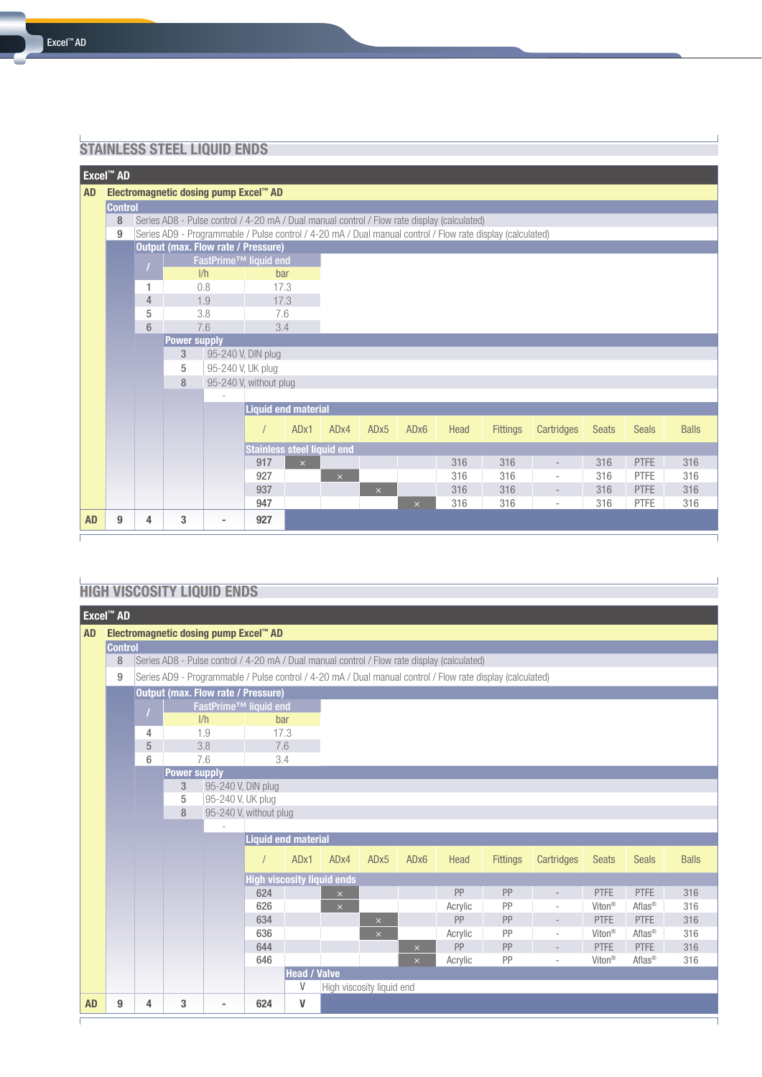### **STAINLESS STEEL LIQUID ENDS**

|           | Excel <sup>™</sup> AD                 |   |                                                                                                            |                                   |                                   |          |                  |                  |                  |                                                                                             |                 |                          |              |              |              |
|-----------|---------------------------------------|---|------------------------------------------------------------------------------------------------------------|-----------------------------------|-----------------------------------|----------|------------------|------------------|------------------|---------------------------------------------------------------------------------------------|-----------------|--------------------------|--------------|--------------|--------------|
| <b>AD</b> | Electromagnetic dosing pump Excel™ AD |   |                                                                                                            |                                   |                                   |          |                  |                  |                  |                                                                                             |                 |                          |              |              |              |
|           | <b>Control</b>                        |   |                                                                                                            |                                   |                                   |          |                  |                  |                  |                                                                                             |                 |                          |              |              |              |
|           | 8                                     |   |                                                                                                            |                                   |                                   |          |                  |                  |                  | Series AD8 - Pulse control / 4-20 mA / Dual manual control / Flow rate display (calculated) |                 |                          |              |              |              |
|           | 9                                     |   | Series AD9 - Programmable / Pulse control / 4-20 mA / Dual manual control / Flow rate display (calculated) |                                   |                                   |          |                  |                  |                  |                                                                                             |                 |                          |              |              |              |
|           |                                       |   | <b>Output (max. Flow rate / Pressure)</b>                                                                  |                                   |                                   |          |                  |                  |                  |                                                                                             |                 |                          |              |              |              |
|           |                                       |   |                                                                                                            | FastPrime <sup>™</sup> liquid end |                                   |          |                  |                  |                  |                                                                                             |                 |                          |              |              |              |
|           |                                       |   |                                                                                                            | 1/h                               | bar                               |          |                  |                  |                  |                                                                                             |                 |                          |              |              |              |
|           |                                       | 1 |                                                                                                            | 0.8                               | 17.3                              |          |                  |                  |                  |                                                                                             |                 |                          |              |              |              |
|           |                                       | 4 |                                                                                                            | 1.9                               | 17.3                              |          |                  |                  |                  |                                                                                             |                 |                          |              |              |              |
|           |                                       | 5 |                                                                                                            | 3.8                               | 7.6                               |          |                  |                  |                  |                                                                                             |                 |                          |              |              |              |
|           |                                       | 6 |                                                                                                            | 7.6                               | 3.4                               |          |                  |                  |                  |                                                                                             |                 |                          |              |              |              |
|           |                                       |   |                                                                                                            | <b>Power supply</b>               |                                   |          |                  |                  |                  |                                                                                             |                 |                          |              |              |              |
|           |                                       |   | 3                                                                                                          |                                   | 95-240 V, DIN plug                |          |                  |                  |                  |                                                                                             |                 |                          |              |              |              |
|           |                                       |   | 5                                                                                                          |                                   | 95-240 V, UK plug                 |          |                  |                  |                  |                                                                                             |                 |                          |              |              |              |
|           |                                       |   | 8                                                                                                          |                                   | 95-240 V, without plug            |          |                  |                  |                  |                                                                                             |                 |                          |              |              |              |
|           |                                       |   |                                                                                                            |                                   | <b>Liquid end material</b>        |          |                  |                  |                  |                                                                                             |                 |                          |              |              |              |
|           |                                       |   |                                                                                                            |                                   |                                   |          |                  |                  |                  |                                                                                             |                 |                          |              |              |              |
|           |                                       |   |                                                                                                            |                                   |                                   | ADx1     | AD <sub>x4</sub> | AD <sub>x5</sub> | AD <sub>x6</sub> | Head                                                                                        | <b>Fittings</b> | Cartridges               | <b>Seats</b> | <b>Seals</b> | <b>Balls</b> |
|           |                                       |   |                                                                                                            |                                   | <b>Stainless steel liquid end</b> |          |                  |                  |                  |                                                                                             |                 |                          |              |              |              |
|           |                                       |   |                                                                                                            |                                   | 917                               | $\times$ |                  |                  |                  | 316                                                                                         | 316             | $\overline{\phantom{a}}$ | 316          | <b>PTFE</b>  | 316          |
|           |                                       |   |                                                                                                            |                                   | 927                               |          | $\times$         |                  |                  | 316                                                                                         | 316             | $\overline{\phantom{a}}$ | 316          | <b>PTFE</b>  | 316          |
|           |                                       |   |                                                                                                            |                                   | 937                               |          |                  | $\times$         |                  | 316                                                                                         | 316             | $\overline{\phantom{a}}$ | 316          | <b>PTFE</b>  | 316          |
|           |                                       |   |                                                                                                            |                                   | 947                               |          |                  |                  | $\times$         | 316                                                                                         | 316             | $\overline{\phantom{a}}$ | 316          | <b>PTFE</b>  | 316          |
| <b>AD</b> | 9                                     | 4 | 3                                                                                                          | $\overline{\phantom{a}}$          | 927                               |          |                  |                  |                  |                                                                                             |                 |                          |              |              |              |

## **HIGH VISCOSITY LIQUID ENDS**

|                                                                                                  | Excel <sup>™</sup> AD                     |   |                                           |                                   |     |                            |                                   |                  |                  |         |                                                                                                            |                          |                    |                    |              |
|--------------------------------------------------------------------------------------------------|-------------------------------------------|---|-------------------------------------------|-----------------------------------|-----|----------------------------|-----------------------------------|------------------|------------------|---------|------------------------------------------------------------------------------------------------------------|--------------------------|--------------------|--------------------|--------------|
| Electromagnetic dosing pump Excel™ AD<br><b>AD</b>                                               |                                           |   |                                           |                                   |     |                            |                                   |                  |                  |         |                                                                                                            |                          |                    |                    |              |
|                                                                                                  | <b>Control</b>                            |   |                                           |                                   |     |                            |                                   |                  |                  |         |                                                                                                            |                          |                    |                    |              |
| 8<br>Series AD8 - Pulse control / 4-20 mA / Dual manual control / Flow rate display (calculated) |                                           |   |                                           |                                   |     |                            |                                   |                  |                  |         |                                                                                                            |                          |                    |                    |              |
|                                                                                                  | 9                                         |   |                                           |                                   |     |                            |                                   |                  |                  |         | Series AD9 - Programmable / Pulse control / 4-20 mA / Dual manual control / Flow rate display (calculated) |                          |                    |                    |              |
|                                                                                                  |                                           |   | <b>Output (max. Flow rate / Pressure)</b> |                                   |     |                            |                                   |                  |                  |         |                                                                                                            |                          |                    |                    |              |
|                                                                                                  |                                           |   |                                           | FastPrime <sup>™</sup> liquid end |     |                            |                                   |                  |                  |         |                                                                                                            |                          |                    |                    |              |
|                                                                                                  |                                           |   |                                           | 1/h                               |     | bar                        |                                   |                  |                  |         |                                                                                                            |                          |                    |                    |              |
|                                                                                                  |                                           | 4 |                                           | 1.9                               |     | 17.3                       |                                   |                  |                  |         |                                                                                                            |                          |                    |                    |              |
|                                                                                                  |                                           | 5 | 3.8                                       |                                   |     | 7.6                        |                                   |                  |                  |         |                                                                                                            |                          |                    |                    |              |
|                                                                                                  |                                           | 6 |                                           | 7.6                               |     | 3.4                        |                                   |                  |                  |         |                                                                                                            |                          |                    |                    |              |
|                                                                                                  | <b>Power supply</b><br>95-240 V, DIN plug |   |                                           |                                   |     |                            |                                   |                  |                  |         |                                                                                                            |                          |                    |                    |              |
|                                                                                                  |                                           |   | 3<br>5                                    | 95-240 V, UK plug                 |     |                            |                                   |                  |                  |         |                                                                                                            |                          |                    |                    |              |
|                                                                                                  |                                           |   | 8                                         |                                   |     |                            |                                   |                  |                  |         |                                                                                                            |                          |                    |                    |              |
|                                                                                                  | 95-240 V, without plug                    |   |                                           |                                   |     |                            |                                   |                  |                  |         |                                                                                                            |                          |                    |                    |              |
|                                                                                                  |                                           |   |                                           |                                   |     | <b>Liquid end material</b> |                                   |                  |                  |         |                                                                                                            |                          |                    |                    |              |
|                                                                                                  |                                           |   |                                           |                                   |     |                            |                                   |                  |                  |         |                                                                                                            |                          |                    |                    |              |
|                                                                                                  |                                           |   |                                           |                                   |     | ADx1                       | AD <sub>x4</sub>                  | AD <sub>x5</sub> | AD <sub>x6</sub> | Head    | <b>Fittings</b>                                                                                            | Cartridges               | <b>Seats</b>       | <b>Seals</b>       | <b>Balls</b> |
|                                                                                                  |                                           |   |                                           |                                   |     |                            | <b>High viscosity liquid ends</b> |                  |                  |         |                                                                                                            |                          |                    |                    |              |
|                                                                                                  |                                           |   |                                           |                                   | 624 |                            | $\mathsf{x}$                      |                  |                  | PP      | PP                                                                                                         | $\overline{\phantom{a}}$ | PTFE               | PTFE               | 316          |
|                                                                                                  |                                           |   |                                           |                                   | 626 |                            | $\boldsymbol{\times}$             |                  |                  | Acrylic | PP                                                                                                         | $\overline{\phantom{0}}$ | Viton <sup>®</sup> | Aflas <sup>®</sup> | 316          |
|                                                                                                  |                                           |   |                                           |                                   | 634 |                            |                                   | $\times$         |                  | PP      | PP                                                                                                         | $\overline{a}$           | <b>PTFE</b>        | <b>PTFE</b>        | 316          |
|                                                                                                  |                                           |   |                                           |                                   | 636 |                            |                                   | $\times$         |                  | Acrylic | PP                                                                                                         | $\overline{\phantom{a}}$ | Viton <sup>®</sup> | Aflas <sup>®</sup> | 316          |
|                                                                                                  |                                           |   |                                           |                                   | 644 |                            |                                   |                  | $\times$         | PP      | PP                                                                                                         | $\overline{a}$           | <b>PTFE</b>        | PTFE               | 316          |
|                                                                                                  |                                           |   |                                           |                                   | 646 |                            |                                   |                  | $\times$         | Acrylic | PP                                                                                                         | $\overline{\phantom{a}}$ | Viton <sup>®</sup> | Aflas®             | 316          |
|                                                                                                  |                                           |   |                                           |                                   |     | <b>Head / Valve</b><br>V   | High viscosity liquid end         |                  |                  |         |                                                                                                            |                          |                    |                    |              |
|                                                                                                  |                                           |   |                                           |                                   |     |                            |                                   |                  |                  |         |                                                                                                            |                          |                    |                    |              |
| <b>AD</b>                                                                                        | 9                                         | 4 | 3                                         | $\sim$                            | 624 | V                          |                                   |                  |                  |         |                                                                                                            |                          |                    |                    |              |